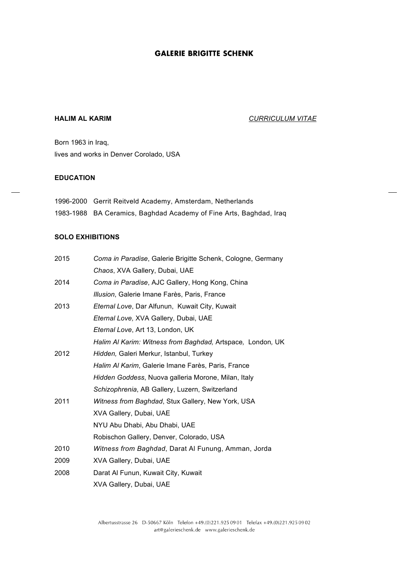### **HALIM AL KARIM** *CURRICULUM VITAE*

Born 1963 in Iraq, lives and works in Denver Corolado, USA

#### **EDUCATION**

| 1996-2000 Gerrit Reitveld Academy, Amsterdam, Netherlands          |
|--------------------------------------------------------------------|
| 1983-1988 BA Ceramics, Baghdad Academy of Fine Arts, Baghdad, Iraq |

# **SOLO EXHIBITIONS**

| 2015 | Coma in Paradise, Galerie Brigitte Schenk, Cologne, Germany |
|------|-------------------------------------------------------------|
|      | Chaos, XVA Gallery, Dubai, UAE                              |
| 2014 | Coma in Paradise, AJC Gallery, Hong Kong, China             |
|      | Illusion, Galerie Imane Farès, Paris, France                |
| 2013 | Eternal Love, Dar Alfunun, Kuwait City, Kuwait              |
|      | Eternal Love, XVA Gallery, Dubai, UAE                       |
|      | Eternal Love, Art 13, London, UK                            |
|      | Halim Al Karim: Witness from Baghdad, Artspace, London, UK  |
| 2012 | Hidden, Galeri Merkur, Istanbul, Turkey                     |
|      | Halim Al Karim, Galerie Imane Farès, Paris, France          |
|      | Hidden Goddess, Nuova galleria Morone, Milan, Italy         |
|      | Schizophrenia, AB Gallery, Luzern, Switzerland              |
| 2011 | Witness from Baghdad, Stux Gallery, New York, USA           |
|      | XVA Gallery, Dubai, UAE                                     |
|      | NYU Abu Dhabi, Abu Dhabi, UAE                               |
|      | Robischon Gallery, Denver, Colorado, USA                    |
| 2010 | <i>Witness from Baghdad, Darat Al Funung, Amman, Jorda</i>  |
| 2009 | XVA Gallery, Dubai, UAE                                     |
| 2008 | Darat Al Funun, Kuwait City, Kuwait                         |
|      | XVA Gallery, Dubai, UAE                                     |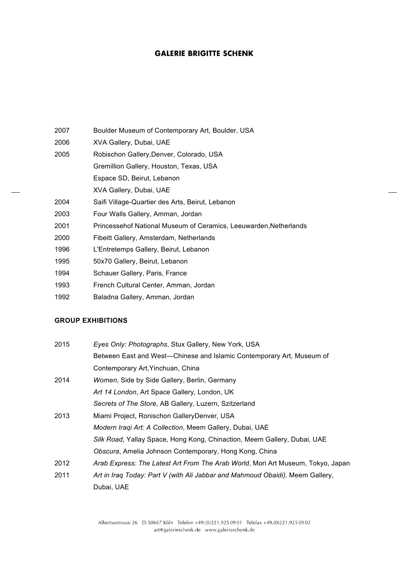- 2007 Boulder Museum of Contemporary Art, Boulder, USA
- 2006 XVA Gallery, Dubai, UAE
- 2005 Robischon Gallery,Denver, Colorado, USA
	- Gremillion Gallery, Houston, Texas, USA
		- Espace SD, Beirut, Lebanon
		- XVA Gallery, Dubai, UAE
- 2004 Saifi Village-Quartier des Arts, Beirut, Lebanon
- 2003 Four Walls Gallery, Amman, Jordan
- 2001 Princessehof National Museum of Ceramics, Leeuwarden,Netherlands
- 2000 Fibeitt Gallery, Amsterdam, Netherlands
- 1996 L'Entretemps Gallery, Beirut, Lebanon
- 1995 50x70 Gallery, Beirut, Lebanon
- 1994 Schauer Gallery, Paris, France
- 1993 French Cultural Center, Amman, Jordan
- 1992 Baladna Gallery, Amman, Jordan

## **GROUP EXHIBITIONS**

| 2015 | Eyes Only: Photographs, Stux Gallery, New York, USA                             |
|------|---------------------------------------------------------------------------------|
|      | Between East and West-Chinese and Islamic Contemporary Art, Museum of           |
|      | Contemporary Art, Yinchuan, China                                               |
| 2014 | Women, Side by Side Gallery, Berlin, Germany                                    |
|      | Art 14 London, Art Space Gallery, London, UK                                    |
|      | Secrets of The Store, AB Gallery, Luzern, Szitzerland                           |
| 2013 | Miami Project, Ronischon GalleryDenver, USA                                     |
|      | Modern Iraqi Art: A Collection, Meem Gallery, Dubai, UAE                        |
|      | Silk Road, Yallay Space, Hong Kong, Chinaction, Meem Gallery, Dubai, UAE        |
|      | Obscura, Amelia Johnson Contemporary, Hong Kong, China                          |
| 2012 | Arab Express: The Latest Art From The Arab World, Mori Art Museum, Tokyo, Japan |
| 2011 | Art in Iraq Today: Part V (with Ali Jabbar and Mahmoud Obaidi), Meem Gallery,   |
|      | Dubai, UAE                                                                      |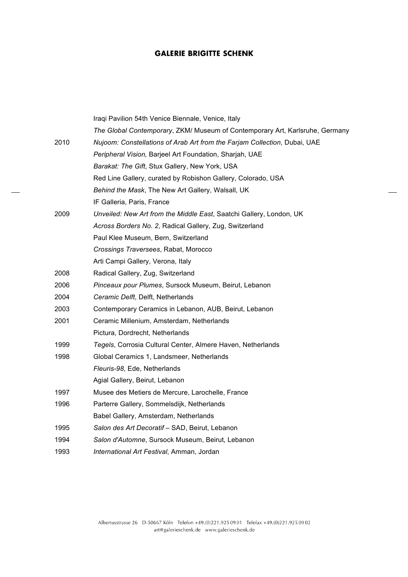|      | Iraqi Pavilion 54th Venice Biennale, Venice, Italy                           |
|------|------------------------------------------------------------------------------|
|      | The Global Contemporary, ZKM/ Museum of Contemporary Art, Karlsruhe, Germany |
| 2010 | Nujoom: Constellations of Arab Art from the Farjam Collection, Dubai, UAE    |
|      | Peripheral Vision, Barjeel Art Foundation, Sharjah, UAE                      |
|      | Barakat: The Gift, Stux Gallery, New York, USA                               |
|      | Red Line Gallery, curated by Robishon Gallery, Colorado, USA                 |
|      | Behind the Mask, The New Art Gallery, Walsall, UK                            |
|      | IF Galleria, Paris, France                                                   |
| 2009 | Unveiled: New Art from the Middle East, Saatchi Gallery, London, UK          |
|      | Across Borders No. 2, Radical Gallery, Zug, Switzerland                      |
|      | Paul Klee Museum, Bern, Switzerland                                          |
|      | Crossings Traversees, Rabat, Morocco                                         |
|      | Arti Campi Gallery, Verona, Italy                                            |
| 2008 | Radical Gallery, Zug, Switzerland                                            |
| 2006 | Pinceaux pour Plumes, Sursock Museum, Beirut, Lebanon                        |
| 2004 | Ceramic Delft, Delft, Netherlands                                            |
| 2003 | Contemporary Ceramics in Lebanon, AUB, Beirut, Lebanon                       |
| 2001 | Ceramic Millenium, Amsterdam, Netherlands                                    |
|      | Pictura, Dordrecht, Netherlands                                              |
| 1999 | Tegels, Corrosia Cultural Center, Almere Haven, Netherlands                  |
| 1998 | Global Ceramics 1, Landsmeer, Netherlands                                    |
|      | Fleuris-98, Ede, Netherlands                                                 |
|      | Agial Gallery, Beirut, Lebanon                                               |
| 1997 | Musee des Metiers de Mercure, Larochelle, France                             |
| 1996 | Parterre Gallery, Sommelsdijk, Netherlands                                   |
|      | Babel Gallery, Amsterdam, Netherlands                                        |
| 1995 | Salon des Art Decoratif - SAD, Beirut, Lebanon                               |
| 1994 | Salon d'Automne, Sursock Museum, Beirut, Lebanon                             |
| 1993 | International Art Festival, Amman, Jordan                                    |

 $\overline{a}$